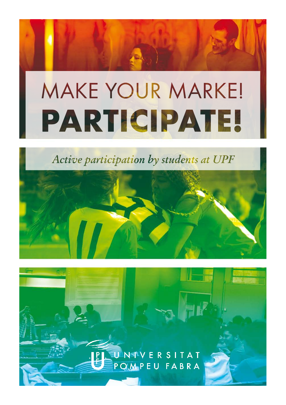# **MAKE YOUR MARKE! PARTICIPATE!**

Active participation by students at UPF



U NTVERSITAT<br>POMPEU FABRA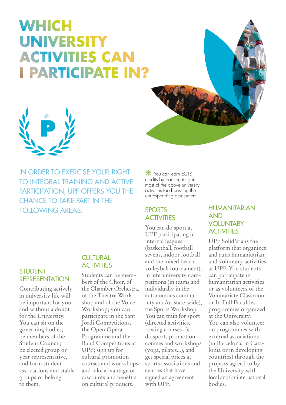# **WHICH UNIVERSITY ACTIVITIES CAN I PARTICIPATE IN?**





IN ORDER TO EXERCISE YOUR RIGHT TO INTEGRAL TRAINING AND ACTIVE PARTICIPATION, UPF OFFERS YOU THE CHANCE TO TAKE PART IN THE FOLLOWING AREAS:

# STUDENT

Contributing actively in university life will be important for you and without a doubt for the University. You can sit on the governing bodies; be members of the Student Council; be elected group or year representative, and form student associations and stable groups or belong to them.

### **CULTURAL ACTIVITIES**

REPRESENTATION Students can be members of the Choir, of the Chamber Orchestra, of the Theatre Work– shop and of the Voice Workshop; you can participate in the Sant Jordi Competitions, the Open Opera Programme and the Band Competitions at UPF; sign up for cultural promotion courses and workshops, and take advantage of discounts and benefits on cultural products.

**\*** You can earn ECTS credits by participating in most of the above university activities (and passing the corresponding assessment).

### **SPORTS ACTIVITIES**

You can do sport at UPF participating in internal leagues (basketball, football sevens, indoor football and the mixed beach volleyball tournament); in interuniversity competitions (in teams and individually in the autonomous community and/or state-wide), the Sports Workshop. You can train for sport (directed activities, rowing courses...); do sports promotion courses and workshops (yoga, pilates...), and get special prices at sports associations and centres that have signed an agreement with UPF.

#### HUMANITARIAN AND **VOLUNTARY ACTIVITIES**

UPF Solidària is the platform that organizes and runs humanitarian and voluntary activities at UPF. You students can participate in humanitarian activities or as volunteers of the Voluntariate Classroom or In Full Faculties programmes organized at the University. You can also volunteer on programmes with external associations (in Barcelona, in Catalonia or in developing countries) through the projects agreed to by the University with local and/or international bodies.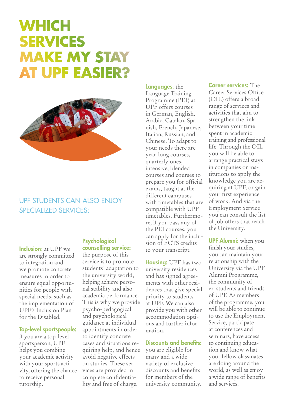# **WHICH SERVICES MAKE MY STAY AT UPF EASIER?**



### UPF STUDENTS CAN ALSO ENJOY SPECIALIZED SERVICES:

Inclusion: at UPF we are strongly committed to integration and we promote concrete measures in order to ensure equal opportunities for people with special needs, such as the implementation of UPF's Inclusion Plan for the Disabled.

#### Top-level sportspeople:

if you are a top-level sportsperson, UPF helps you combine your academic activity with your sports activity, offering the chance to receive personal tutorship.

#### Psychological counselling service:

the purpose of this service is to promote students' adaptation to the university world, helping achieve personal stability and also academic performance. This is why we provide psycho-pedagogical and psychological guidance at individual appointments in order to identify concrete cases and situations requiring help, and hence avoid negative effects on studies. These services are provided in complete confidentiality and free of charge.

### Languages: the

Language Training Programme (PEI) at UPF offers courses in German, English, Arabic, Catalan, Spanish, French, Japanese, Italian, Russian, and Chinese. To adapt to your needs there are year-long courses, quarterly ones, intensive, blended courses and courses to prepare you for official exams, taught at the different campuses with timetables that are compatible with UPF timetables. Furthermore, if you pass any of the PEI courses, you can apply for the inclusion of ECTS credits to your transcript.

Housing: UPF has two university residences and has signed agreements with other residences that give special priority to students at UPF. We can also provide you with other accommodation options and further information.

#### Discounts and benefits:

you are eligible for many and a wide variety of exclusive discounts and benefits for members of the university community. Career services: The Career Services Office (OIL) offers a broad range of services and activities that aim to strengthen the link between your time spent in academic training and professional life. Through the OIL you will be able to arrange practical stays in companies or institutions to apply the knowledge you are acquiring at UPF, or gain your first experience of work. And via the Employment Service you can consult the list of job offers that reach the University.

**UPF Alumni:** when you finish your studies, you can maintain your relationship with the University via the UPF Alumni Programme, the community of ex-students and friends of UPF. As members of the programme, you will be able to continue to use the Employment Service, participate at conferences and seminars, have access to continuing education and know what your fellow classmates are doing around the world, as well as enjoy a wide range of benefits and services.